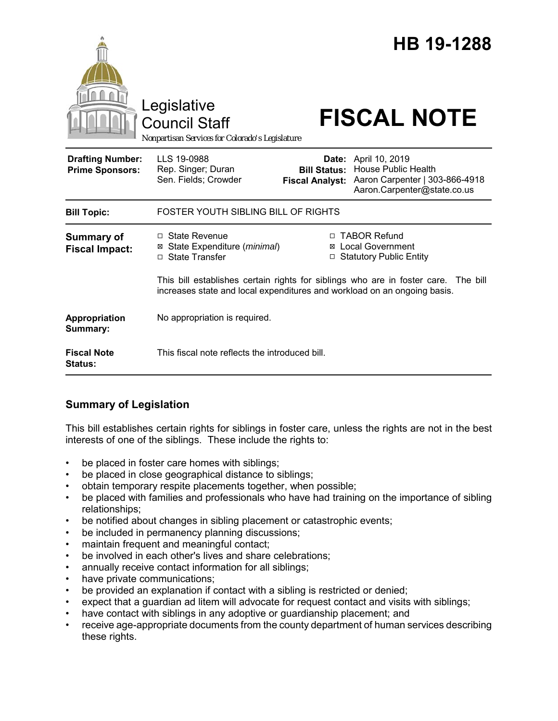

# **Summary of Legislation**

This bill establishes certain rights for siblings in foster care, unless the rights are not in the best interests of one of the siblings. These include the rights to:

- be placed in foster care homes with siblings;
- be placed in close geographical distance to siblings;
- obtain temporary respite placements together, when possible;
- be placed with families and professionals who have had training on the importance of sibling relationships;
- be notified about changes in sibling placement or catastrophic events;
- be included in permanency planning discussions;
- maintain frequent and meaningful contact;
- be involved in each other's lives and share celebrations;
- annually receive contact information for all siblings;
- have private communications;
- be provided an explanation if contact with a sibling is restricted or denied;
- expect that a guardian ad litem will advocate for request contact and visits with siblings;
- have contact with siblings in any adoptive or guardianship placement; and
- receive age-appropriate documents from the county department of human services describing these rights.